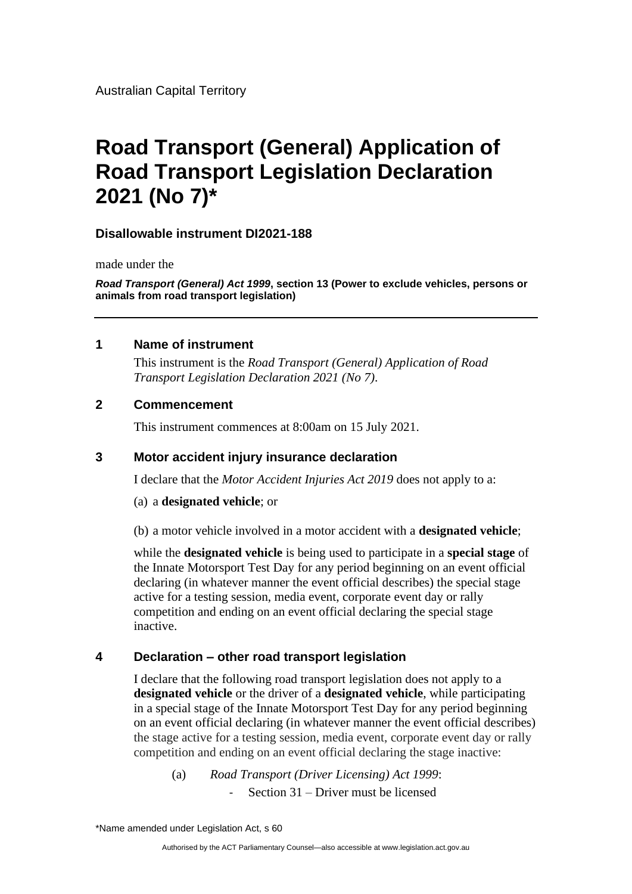# **Road Transport (General) Application of Road Transport Legislation Declaration 2021 (No 7)\***

## **Disallowable instrument DI2021-188**

made under the

*Road Transport (General) Act 1999***, section 13 (Power to exclude vehicles, persons or animals from road transport legislation)**

#### **1 Name of instrument**

This instrument is the *Road Transport (General) Application of Road Transport Legislation Declaration 2021 (No 7)*.

## **2 Commencement**

This instrument commences at 8:00am on 15 July 2021.

## **3 Motor accident injury insurance declaration**

I declare that the *Motor Accident Injuries Act 2019* does not apply to a:

(a) a **designated vehicle**; or

(b) a motor vehicle involved in a motor accident with a **designated vehicle**;

while the **designated vehicle** is being used to participate in a **special stage** of the Innate Motorsport Test Day for any period beginning on an event official declaring (in whatever manner the event official describes) the special stage active for a testing session, media event, corporate event day or rally competition and ending on an event official declaring the special stage inactive.

## **4 Declaration – other road transport legislation**

I declare that the following road transport legislation does not apply to a **designated vehicle** or the driver of a **designated vehicle**, while participating in a special stage of the Innate Motorsport Test Day for any period beginning on an event official declaring (in whatever manner the event official describes) the stage active for a testing session, media event, corporate event day or rally competition and ending on an event official declaring the stage inactive:

(a) *Road Transport (Driver Licensing) Act 1999*: - Section 31 – Driver must be licensed

\*Name amended under Legislation Act, s 60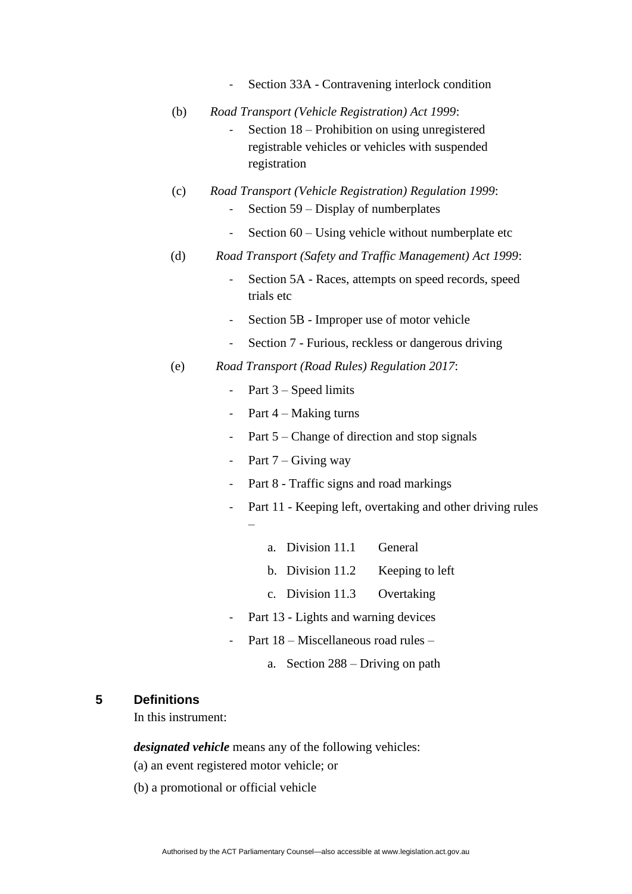- Section 33A Contravening interlock condition
- (b) *Road Transport (Vehicle Registration) Act 1999*:
	- Section 18 Prohibition on using unregistered registrable vehicles or vehicles with suspended registration
- (c) *Road Transport (Vehicle Registration) Regulation 1999*:
	- Section 59 Display of numberplates
	- Section 60 Using vehicle without numberplate etc
- (d) *Road Transport (Safety and Traffic Management) Act 1999*:
	- Section 5A Races, attempts on speed records, speed trials etc
	- Section 5B Improper use of motor vehicle
	- Section 7 Furious, reckless or dangerous driving
- (e) *Road Transport (Road Rules) Regulation 2017*:
	- Part 3 Speed limits
	- Part  $4 -$ Making turns
	- Part 5 Change of direction and stop signals
	- Part  $7 -$  Giving way
	- Part 8 Traffic signs and road markings
	- Part 11 Keeping left, overtaking and other driving rules –
		- a. Division 11.1 General
		- b. Division 11.2 Keeping to left
		- c. Division 11.3 Overtaking
	- Part 13 Lights and warning devices
	- Part 18 Miscellaneous road rules
		- a. Section 288 Driving on path

#### **5 Definitions**

In this instrument:

*designated vehicle* means any of the following vehicles:

- (a) an event registered motor vehicle; or
- (b) a promotional or official vehicle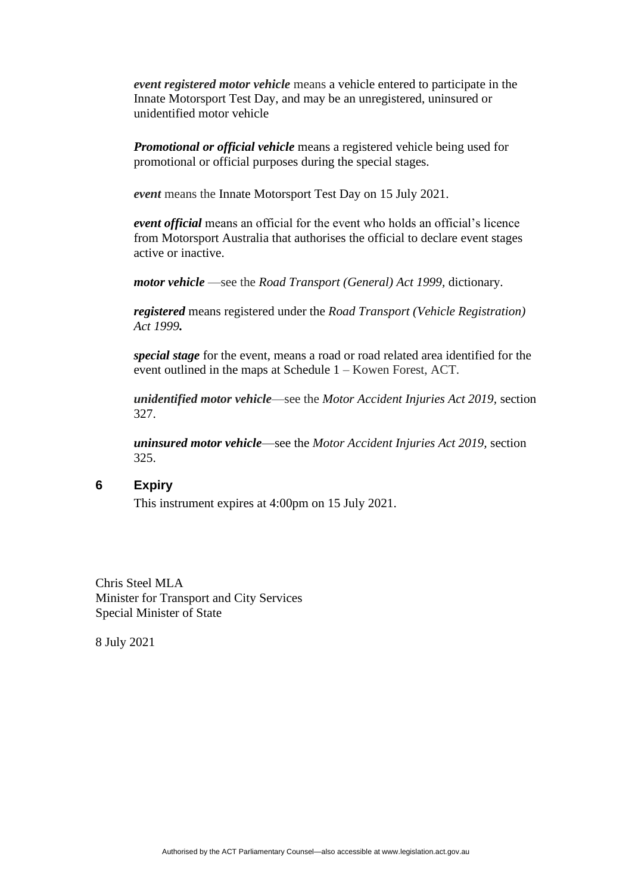*event registered motor vehicle* means a vehicle entered to participate in the Innate Motorsport Test Day, and may be an unregistered, uninsured or unidentified motor vehicle

*Promotional or official vehicle* means a registered vehicle being used for promotional or official purposes during the special stages.

*event* means the Innate Motorsport Test Day on 15 July 2021.

*event official* means an official for the event who holds an official's licence from Motorsport Australia that authorises the official to declare event stages active or inactive.

*motor vehicle* —see the *Road Transport (General) Act 1999,* dictionary.

*registered* means registered under the *Road Transport (Vehicle Registration) Act 1999.*

*special stage* for the event, means a road or road related area identified for the event outlined in the maps at Schedule 1 – Kowen Forest, ACT.

*unidentified motor vehicle*—see the *Motor Accident Injuries Act 2019,* section 327.

*uninsured motor vehicle*—see the *Motor Accident Injuries Act 2019,* section 325.

#### **6 Expiry**

This instrument expires at 4:00pm on 15 July 2021.

Chris Steel MLA Minister for Transport and City Services Special Minister of State

8 July 2021